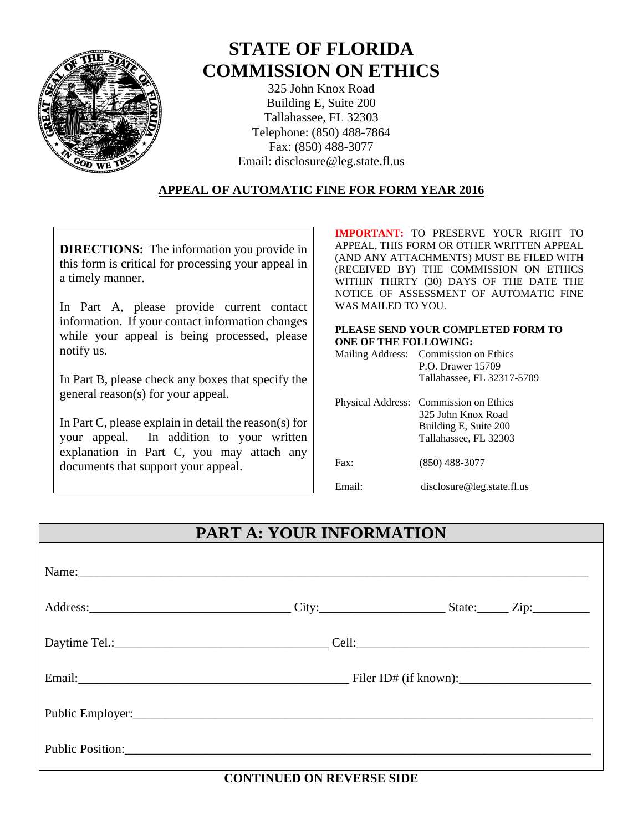

# **STATE OF FLORIDA COMMISSION ON ETHICS**

325 John Knox Road Building E, Suite 200 Tallahassee, FL 32303 Telephone: (850) 488-7864 Fax: (850) 488-3077 Email: disclosure@leg.state.fl.us

#### **APPEAL OF AUTOMATIC FINE FOR FORM YEAR 2016**

**DIRECTIONS:** The information you provide in this form is critical for processing your appeal in a timely manner.

In Part A, please provide current contact information. If your contact information changes while your appeal is being processed, please notify us.

In Part B, please check any boxes that specify the general reason(s) for your appeal.

In Part C, please explain in detail the reason(s) for your appeal. In addition to your written explanation in Part C, you may attach any documents that support your appeal.

**IMPORTANT:** TO PRESERVE YOUR RIGHT TO APPEAL, THIS FORM OR OTHER WRITTEN APPEAL (AND ANY ATTACHMENTS) MUST BE FILED WITH (RECEIVED BY) THE COMMISSION ON ETHICS WITHIN THIRTY (30) DAYS OF THE DATE THE NOTICE OF ASSESSMENT OF AUTOMATIC FINE WAS MAILED TO YOU.

#### **PLEASE SEND YOUR COMPLETED FORM TO ONE OF THE FOLLOWING:**

| Mailing Address: Commission on Ethics |
|---------------------------------------|
| P.O. Drawer 15709                     |
| Tallahassee, FL 32317-5709            |

|       | Physical Address: Commission on Ethics<br>325 John Knox Road<br>Building E, Suite 200<br>Tallahassee, FL 32303 |
|-------|----------------------------------------------------------------------------------------------------------------|
| Fax:  | $(850)$ 488-3077                                                                                               |
| Email | disclosure@leg.state.fl.us                                                                                     |

## **PART A: YOUR INFORMATION**

| Name:                           |  |  |
|---------------------------------|--|--|
|                                 |  |  |
|                                 |  |  |
|                                 |  |  |
| Public Employer: New York: 2008 |  |  |
| Public Position:                |  |  |